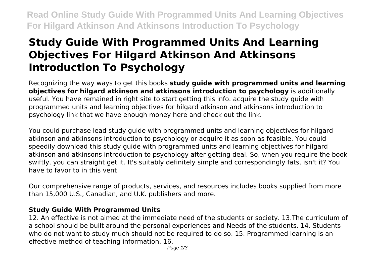**Read Online Study Guide With Programmed Units And Learning Objectives For Hilgard Atkinson And Atkinsons Introduction To Psychology**

# **Study Guide With Programmed Units And Learning Objectives For Hilgard Atkinson And Atkinsons Introduction To Psychology**

Recognizing the way ways to get this books **study guide with programmed units and learning objectives for hilgard atkinson and atkinsons introduction to psychology** is additionally useful. You have remained in right site to start getting this info. acquire the study quide with programmed units and learning objectives for hilgard atkinson and atkinsons introduction to psychology link that we have enough money here and check out the link.

You could purchase lead study guide with programmed units and learning objectives for hilgard atkinson and atkinsons introduction to psychology or acquire it as soon as feasible. You could speedily download this study guide with programmed units and learning objectives for hilgard atkinson and atkinsons introduction to psychology after getting deal. So, when you require the book swiftly, you can straight get it. It's suitably definitely simple and correspondingly fats, isn't it? You have to favor to in this vent

Our comprehensive range of products, services, and resources includes books supplied from more than 15,000 U.S., Canadian, and U.K. publishers and more.

# **Study Guide With Programmed Units**

12. An effective is not aimed at the immediate need of the students or society. 13.The curriculum of a school should be built around the personal experiences and Needs of the students. 14. Students who do not want to study much should not be required to do so. 15. Programmed learning is an effective method of teaching information. 16.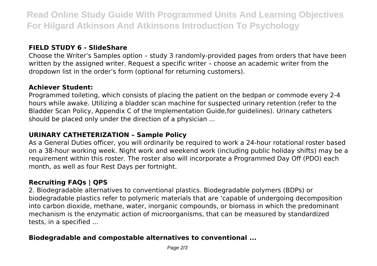**Read Online Study Guide With Programmed Units And Learning Objectives For Hilgard Atkinson And Atkinsons Introduction To Psychology**

# **FIELD STUDY 6 - SlideShare**

Choose the Writer's Samples option – study 3 randomly-provided pages from orders that have been written by the assigned writer. Request a specific writer – choose an academic writer from the dropdown list in the order's form (optional for returning customers).

### **Achiever Student:**

Programmed toileting, which consists of placing the patient on the bedpan or commode every 2-4 hours while awake. Utilizing a bladder scan machine for suspected urinary retention (refer to the Bladder Scan Policy, Appendix C of the Implementation Guide,for guidelines). Urinary catheters should be placed only under the direction of a physician ...

# **URINARY CATHETERIZATION – Sample Policy**

As a General Duties officer, you will ordinarily be required to work a 24-hour rotational roster based on a 38-hour working week. Night work and weekend work (including public holiday shifts) may be a requirement within this roster. The roster also will incorporate a Programmed Day Off (PDO) each month, as well as four Rest Days per fortnight.

# **Recruiting FAQs | QPS**

2. Biodegradable alternatives to conventional plastics. Biodegradable polymers (BDPs) or biodegradable plastics refer to polymeric materials that are 'capable of undergoing decomposition into carbon dioxide, methane, water, inorganic compounds, or biomass in which the predominant mechanism is the enzymatic action of microorganisms, that can be measured by standardized tests, in a specified ...

## **Biodegradable and compostable alternatives to conventional ...**

Page  $2/3$